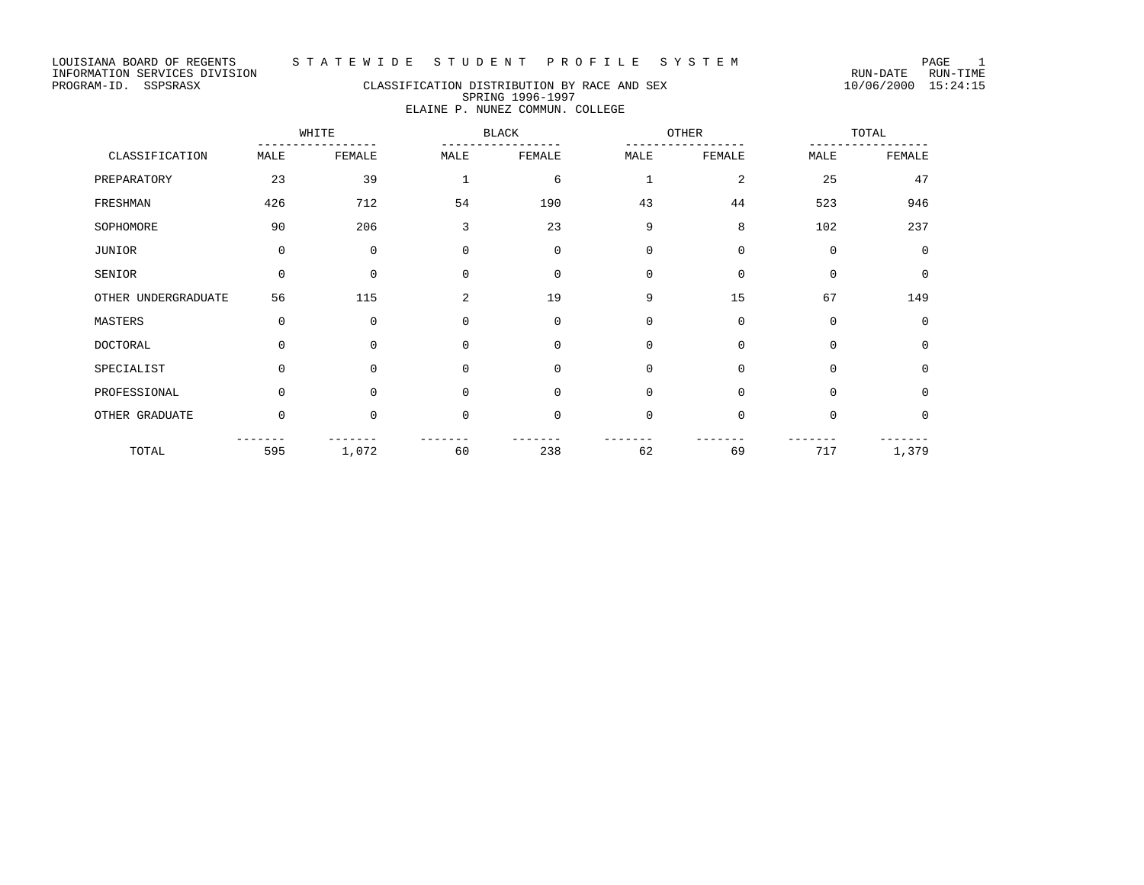# PROGRAM-ID. SSPSRASX CLASSIFICATION DISTRIBUTION BY RACE AND SEX 10/06/2000 15:24:15 SPRING 1996-1997 ELAINE P. NUNEZ COMMUN. COLLEGE

|                     |             | WHITE       |             | <b>BLACK</b> | OTHER        |                | TOTAL       |             |
|---------------------|-------------|-------------|-------------|--------------|--------------|----------------|-------------|-------------|
| CLASSIFICATION      | MALE        | FEMALE      | MALE        | FEMALE       | MALE         | FEMALE         | MALE        | FEMALE      |
| PREPARATORY         | 23          | 39          | $\mathbf 1$ | 6            | $\mathbf{1}$ | $\overline{a}$ | 25          | 47          |
| FRESHMAN            | 426         | 712         | 54          | 190          | 43           | 44             | 523         | 946         |
| SOPHOMORE           | 90          | 206         | 3           | 23           | 9            | 8              | 102         | 237         |
| JUNIOR              | $\Omega$    | $\Omega$    | $\Omega$    | $\mathbf 0$  | $\Omega$     | $\Omega$       | $\mathbf 0$ | $\mathbf 0$ |
| SENIOR              | $\mathbf 0$ | $\mathbf 0$ | $\mathbf 0$ | $\mathbf 0$  | 0            | 0              | $\mathbf 0$ | 0           |
| OTHER UNDERGRADUATE | 56          | 115         | 2           | 19           | 9            | 15             | 67          | 149         |
| MASTERS             | $\mathbf 0$ | $\mathbf 0$ | $\Omega$    | $\mathbf 0$  | $\mathbf 0$  | 0              | $\mathbf 0$ | $\mathbf 0$ |
| <b>DOCTORAL</b>     | $\Omega$    | $\Omega$    | $\Omega$    | $\Omega$     | $\Omega$     | $\Omega$       | $\mathbf 0$ | $\Omega$    |
| SPECIALIST          | $\Omega$    | $\Omega$    | $\Omega$    | $\Omega$     | $\Omega$     | $\Omega$       | $\mathbf 0$ | $\mathbf 0$ |
| PROFESSIONAL        | $\Omega$    | $\Omega$    | 0           | 0            | 0            | $\Omega$       | $\mathbf 0$ | 0           |
| OTHER GRADUATE      | $\Omega$    | $\Omega$    | $\Omega$    | $\Omega$     | $\Omega$     | $\Omega$       | $\mathbf 0$ | 0           |
| TOTAL               | 595         | 1,072       | 60          | 238          | 62           | 69             | 717         | 1,379       |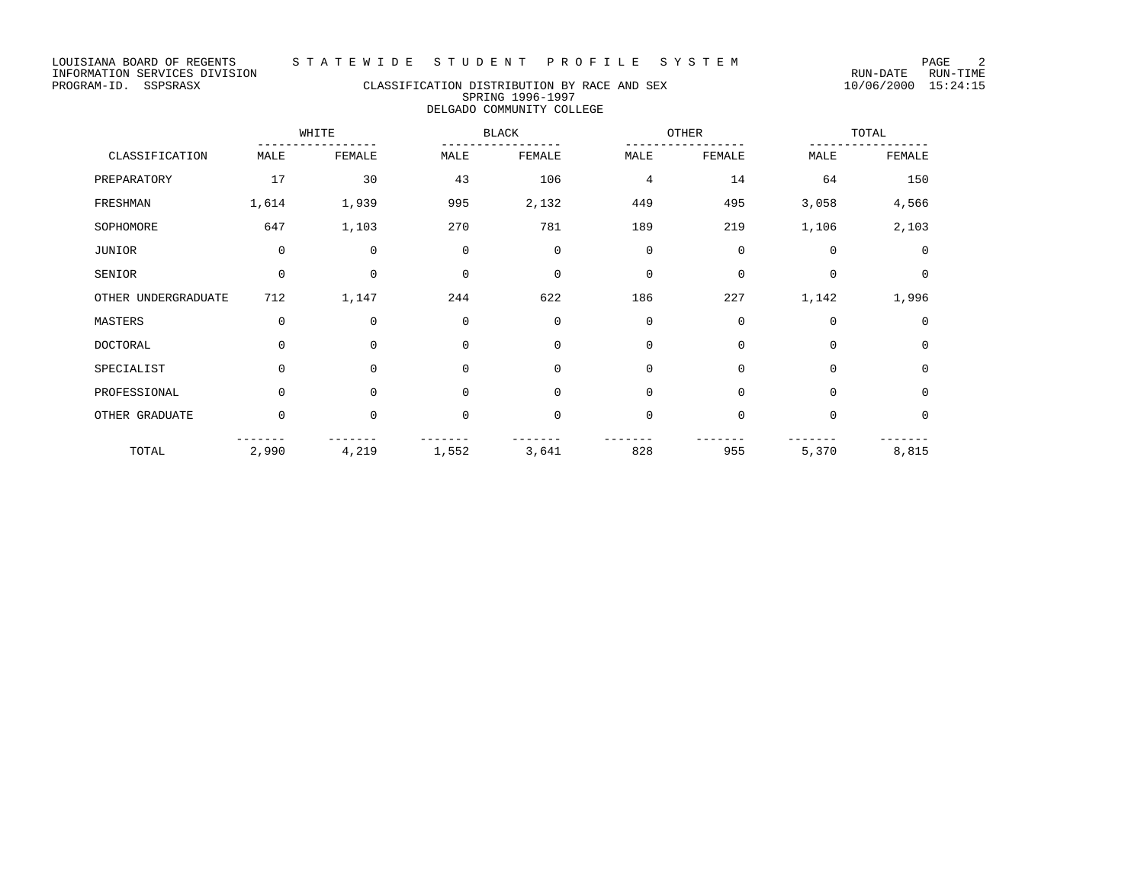# PROGRAM-ID. SSPSRASX CLASSIFICATION DISTRIBUTION BY RACE AND SEX 10/06/2000 15:24:15 SPRING 1996-1997 DELGADO COMMUNITY COLLEGE

|                     |             | WHITE       |             | <b>BLACK</b> | OTHER       |             |             | TOTAL       |  |
|---------------------|-------------|-------------|-------------|--------------|-------------|-------------|-------------|-------------|--|
| CLASSIFICATION      | MALE        | FEMALE      | MALE        | FEMALE       | MALE        | FEMALE      | MALE        | FEMALE      |  |
| PREPARATORY         | 17          | 30          | 43          | 106          | 4           | 14          | 64          | 150         |  |
| FRESHMAN            | 1,614       | 1,939       | 995         | 2,132        | 449         | 495         | 3,058       | 4,566       |  |
| SOPHOMORE           | 647         | 1,103       | 270         | 781          | 189         | 219         | 1,106       | 2,103       |  |
| JUNIOR              | $\mathbf 0$ | $\mathbf 0$ | $\mathbf 0$ | $\mathbf 0$  | $\mathbf 0$ | $\mathbf 0$ | $\mathbf 0$ | $\Omega$    |  |
| SENIOR              | $\mathbf 0$ | 0           | $\mathbf 0$ | $\mathbf 0$  | $\mathbf 0$ | $\mathbf 0$ | $\Omega$    | 0           |  |
| OTHER UNDERGRADUATE | 712         | 1,147       | 244         | 622          | 186         | 227         | 1,142       | 1,996       |  |
| MASTERS             | $\mathbf 0$ | 0           | $\mathbf 0$ | $\mathbf 0$  | $\mathbf 0$ | $\mathbf 0$ | $\mathbf 0$ | $\mathbf 0$ |  |
| DOCTORAL            | $\Omega$    | $\Omega$    | $\Omega$    | $\mathbf 0$  | $\Omega$    | $\mathbf 0$ | $\Omega$    | $\mathbf 0$ |  |
| SPECIALIST          | $\Omega$    | $\Omega$    | $\mathbf 0$ | $\mathbf 0$  | $\Omega$    | $\mathbf 0$ | $\mathbf 0$ | $\Omega$    |  |
| PROFESSIONAL        | $\Omega$    | $\Omega$    | $\mathbf 0$ | $\mathbf 0$  | $\Omega$    | $\mathbf 0$ | $\Omega$    | $\mathbf 0$ |  |
| OTHER GRADUATE      | $\mathbf 0$ | 0           | $\mathbf 0$ | $\mathbf 0$  | $\mathbf 0$ | $\mathbf 0$ | $\mathbf 0$ | $\mathbf 0$ |  |
| TOTAL               | 2,990       | 4,219       | 1,552       | 3,641        | 828         | 955         | 5,370       | 8,815       |  |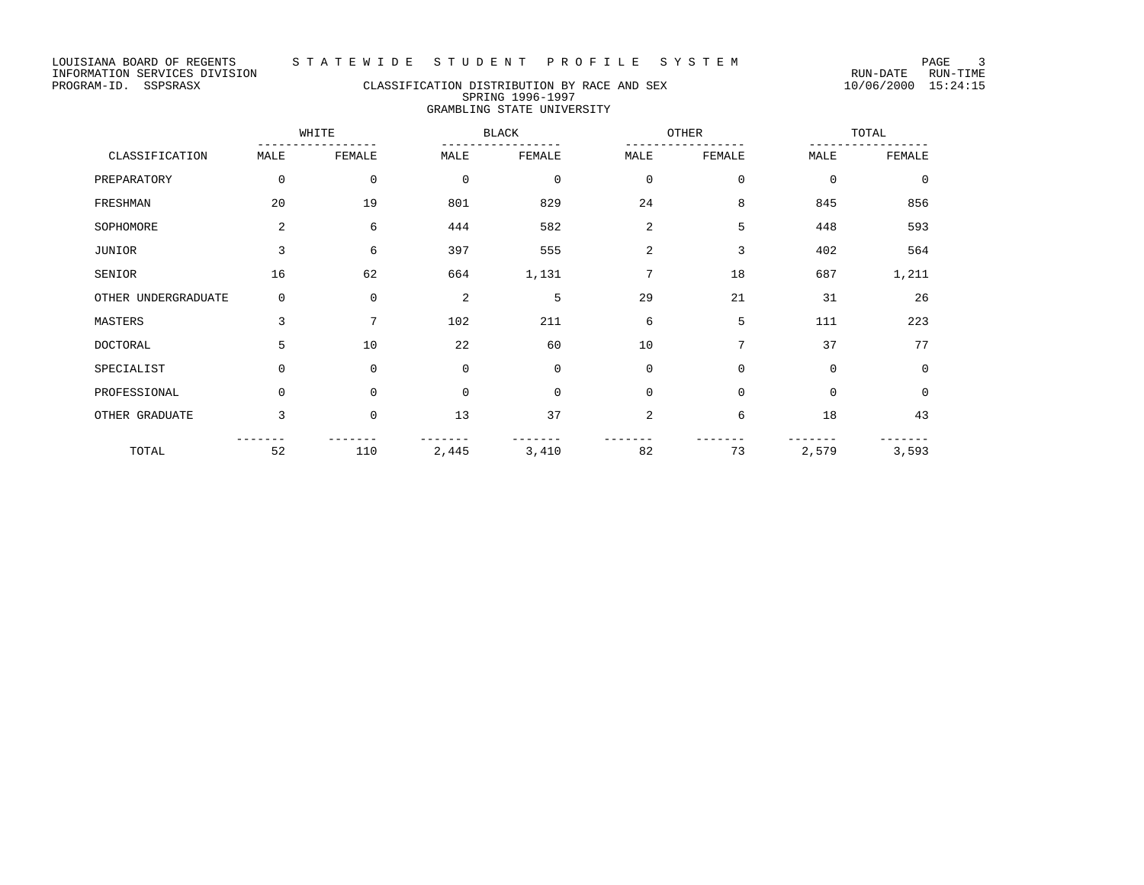# PROGRAM-ID. SSPSRASX CLASSIFICATION DISTRIBUTION BY RACE AND SEX 10/06/2000 15:24:15 SPRING 1996-1997 GRAMBLING STATE UNIVERSITY

|                     |                | WHITE        |                | <b>BLACK</b> | OTHER       |              |             | TOTAL       |  |
|---------------------|----------------|--------------|----------------|--------------|-------------|--------------|-------------|-------------|--|
| CLASSIFICATION      | MALE           | FEMALE       | MALE           | FEMALE       | MALE        | FEMALE       | MALE        | FEMALE      |  |
| PREPARATORY         | 0              | $\mathbf{0}$ | $\mathbf 0$    | $\mathbf 0$  | 0           | $\mathbf{0}$ | $\mathbf 0$ | $\mathbf 0$ |  |
| FRESHMAN            | 20             | 19           | 801            | 829          | 24          | 8            | 845         | 856         |  |
| SOPHOMORE           | $\overline{2}$ | 6            | 444            | 582          | 2           | 5            | 448         | 593         |  |
| <b>JUNIOR</b>       | 3              | 6            | 397            | 555          | 2           | 3            | 402         | 564         |  |
| SENIOR              | 16             | 62           | 664            | 1,131        | 7           | 18           | 687         | 1,211       |  |
| OTHER UNDERGRADUATE | 0              | $\mathbf{0}$ | $\overline{2}$ | 5            | 29          | 21           | 31          | 26          |  |
| MASTERS             | 3              | 7            | 102            | 211          | 6           | 5            | 111         | 223         |  |
| DOCTORAL            | 5              | 10           | 22             | 60           | 10          | 7            | 37          | 77          |  |
| SPECIALIST          | $\Omega$       | $\Omega$     | $\mathbf 0$    | $\Omega$     | $\mathbf 0$ | $\mathbf 0$  | $\mathbf 0$ | $\Omega$    |  |
| PROFESSIONAL        | 0              | $\mathbf 0$  | $\mathbf 0$    | $\mathbf 0$  | $\mathbf 0$ | $\mathbf 0$  | $\Omega$    | $\mathbf 0$ |  |
| OTHER GRADUATE      | 3              | $\mathbf 0$  | 13             | 37           | 2           | 6            | 18          | 43          |  |
| TOTAL               | 52             | 110          | 2,445          | 3,410        | 82          | 73           | 2,579       | 3,593       |  |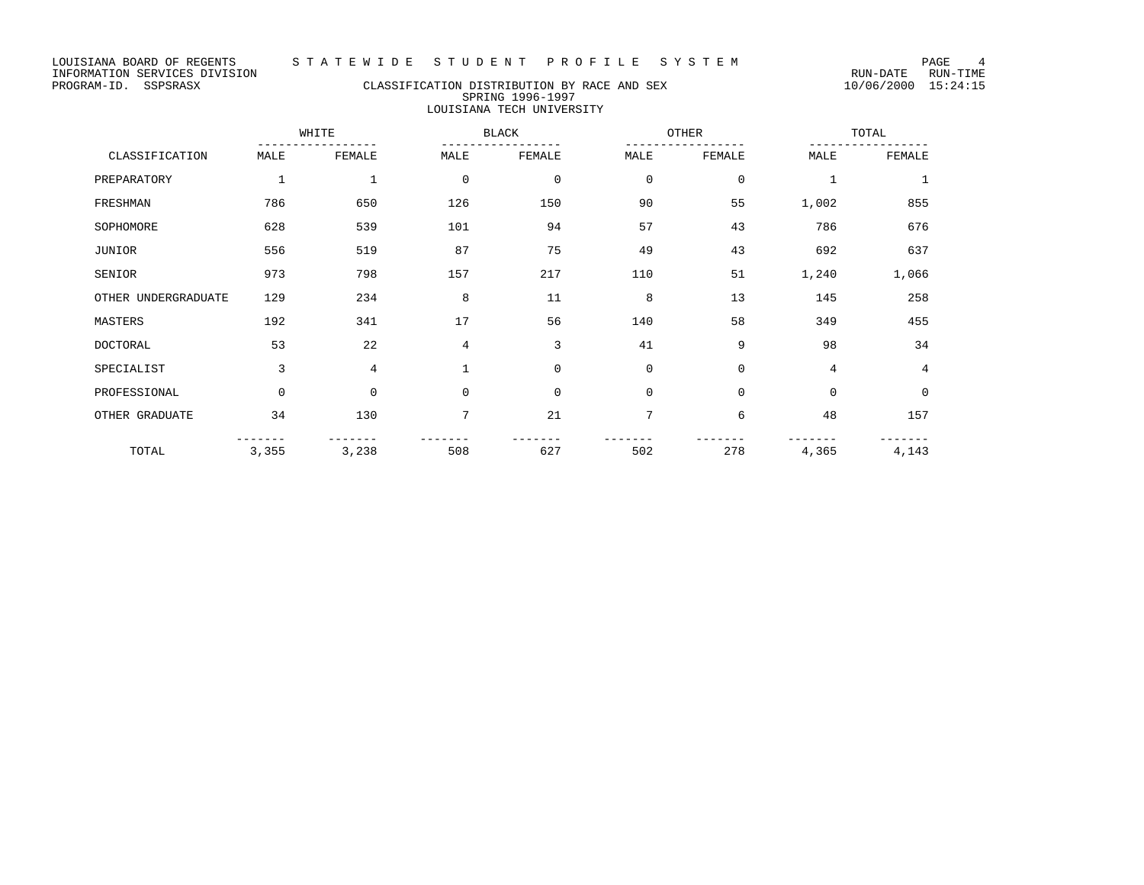LOUISIANA BOARD OF REGENTS STATEWIDE STUDENT PROFILE SYSTEM PAGE 4<br>INFORMATION SERVICES DIVISION INFORMATION SERVICES DIVISION<br>PROGRAM-ID. SSPSRASX CLASSIFICATION DISTRIBUTION BY RACE AND SEX 10/06/2000 15:24:15

## CLASSIFICATION DISTRIBUTION BY RACE AND SEX SPRING 1996-1997 LOUISIANA TECH UNIVERSITY

WHITE BLACK OTHER TOTAL ----------------- ----------------- ----------------- ----------------- CLASSIFICATION MALE FEMALE MALE FEMALE MALE FEMALE MALE FEMALE PREPARATORY 1 1 0 0 0 0 1 1 1 FRESHMAN 786 650 126 150 90 55 1,002 855 SOPHOMORE 628 539 101 94 57 43 786 676 JUNIOR 556 519 87 75 49 43 692 637 SENIOR 973 798 157 217 110 51 1,240 1,066 OTHER UNDERGRADUATE 129 234 8 11 8 13 145 258 MASTERS 192 341 17 56 140 58 349 455 DOCTORAL 53 22 4 3 41 9 98 34 SPECIALIST 3 4 1 0 0 0 4 4 PROFESSIONAL 0 0 0 0 0 0 0 0 OTHER GRADUATE 34 130 7 21 7 6 48 157 ------- ------- ------- ------- ------- ------- ------- ------- TOTAL 3,355 3,238 508 627 502 278 4,365 4,143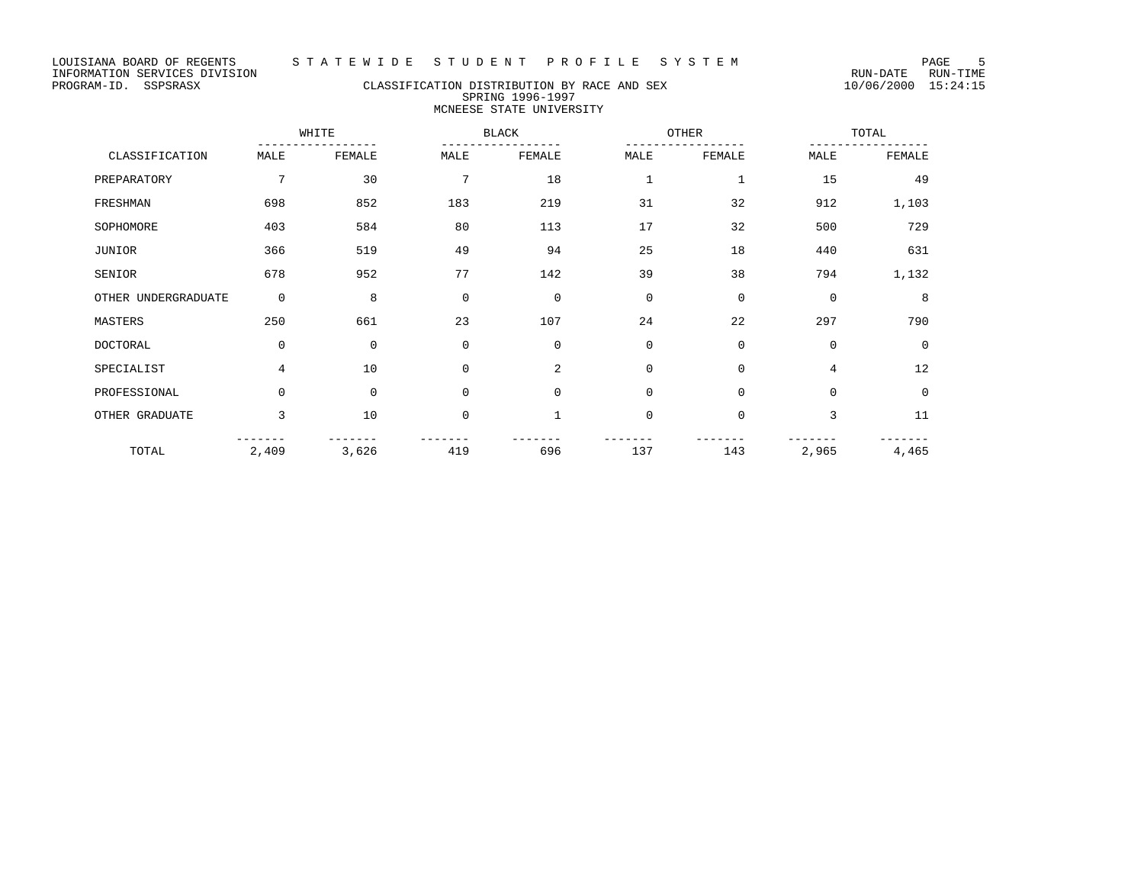# PROGRAM-ID. SSPSRASX CLASSIFICATION DISTRIBUTION BY RACE AND SEX 10/06/2000 15:24:15 SPRING 1996-1997 MCNEESE STATE UNIVERSITY

|                     |             | WHITE       |             | <b>BLACK</b>   | OTHER        |             |             | TOTAL       |  |
|---------------------|-------------|-------------|-------------|----------------|--------------|-------------|-------------|-------------|--|
| CLASSIFICATION      | MALE        | FEMALE      | MALE        | FEMALE         | MALE         | FEMALE      | MALE        | FEMALE      |  |
| PREPARATORY         | 7           | 30          | 7           | 18             | $\mathbf{1}$ | $\mathbf 1$ | 15          | 49          |  |
| FRESHMAN            | 698         | 852         | 183         | 219            | 31           | 32          | 912         | 1,103       |  |
| SOPHOMORE           | 403         | 584         | 80          | 113            | 17           | 32          | 500         | 729         |  |
| JUNIOR              | 366         | 519         | 49          | 94             | 25           | 18          | 440         | 631         |  |
| SENIOR              | 678         | 952         | 77          | 142            | 39           | 38          | 794         | 1,132       |  |
| OTHER UNDERGRADUATE | $\mathbf 0$ | 8           | $\mathbf 0$ | $\mathbf 0$    | $\mathbf 0$  | $\mathbf 0$ | $\mathbf 0$ | 8           |  |
| MASTERS             | 250         | 661         | 23          | 107            | 24           | 22          | 297         | 790         |  |
| <b>DOCTORAL</b>     | $\mathbf 0$ | $\mathbf 0$ | $\mathbf 0$ | $\mathbf 0$    | $\mathbf 0$  | $\mathbf 0$ | $\mathbf 0$ | 0           |  |
| SPECIALIST          | 4           | 10          | $\Omega$    | $\overline{a}$ | $\mathbf 0$  | $\mathbf 0$ | 4           | 12          |  |
| PROFESSIONAL        | $\mathbf 0$ | $\mathbf 0$ | $\mathbf 0$ | $\mathbf 0$    | $\mathbf 0$  | $\mathbf 0$ | $\mathbf 0$ | $\mathbf 0$ |  |
| OTHER GRADUATE      | 3           | 10          | $\mathbf 0$ | 1              | $\mathbf 0$  | $\mathbf 0$ | 3           | 11          |  |
| TOTAL               | 2,409       | 3,626       | 419         | 696            | 137          | 143         | 2,965       | 4,465       |  |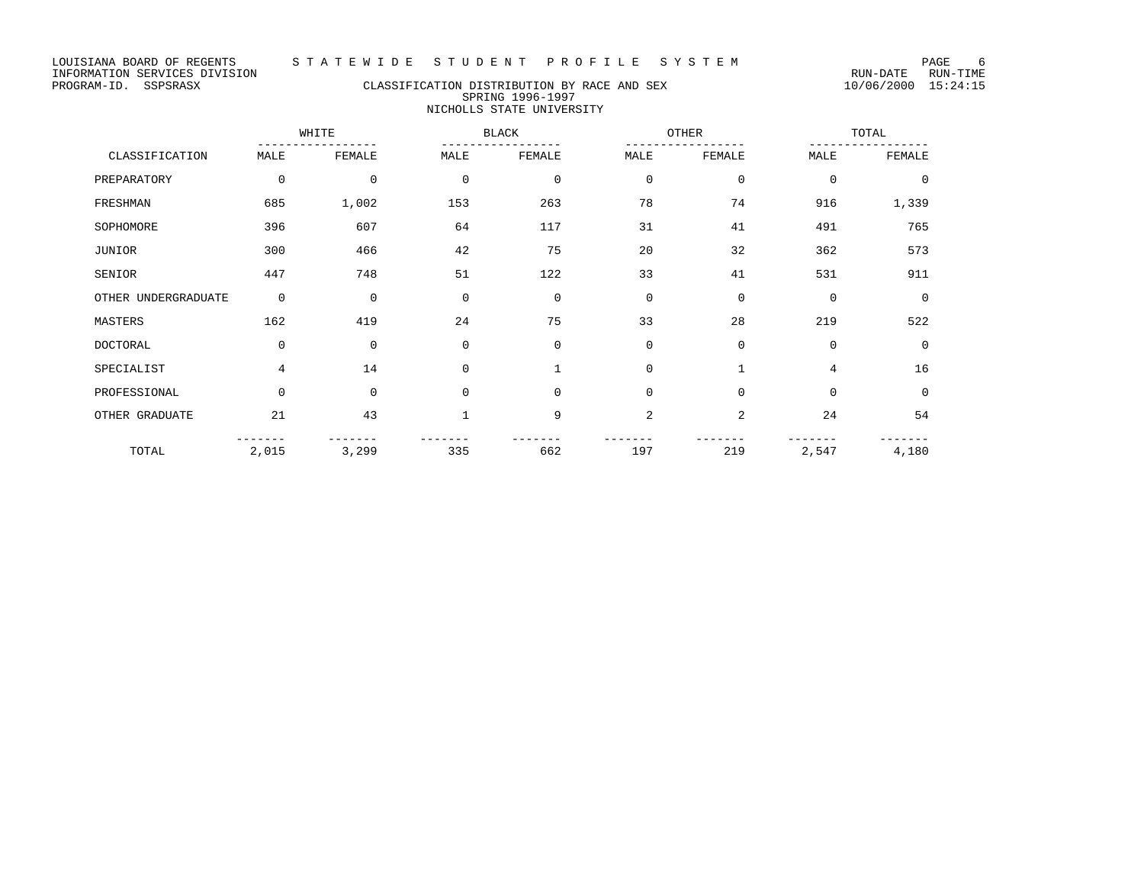# PROGRAM-ID. SSPSRASX CLASSIFICATION DISTRIBUTION BY RACE AND SEX 10/06/2000 15:24:15 SPRING 1996-1997 NICHOLLS STATE UNIVERSITY

|                     |             | WHITE        |             | <b>BLACK</b> | OTHER          |              | TOTAL       |             |
|---------------------|-------------|--------------|-------------|--------------|----------------|--------------|-------------|-------------|
| CLASSIFICATION      | MALE        | FEMALE       | MALE        | FEMALE       | MALE           | FEMALE       | MALE        | FEMALE      |
| PREPARATORY         | 0           | 0            | $\mathbf 0$ | $\mathbf 0$  | $\mathbf 0$    | $\mathbf 0$  | $\mathbf 0$ | $\mathbf 0$ |
| FRESHMAN            | 685         | 1,002        | 153         | 263          | 78             | 74           | 916         | 1,339       |
| SOPHOMORE           | 396         | 607          | 64          | 117          | 31             | 41           | 491         | 765         |
| <b>JUNIOR</b>       | 300         | 466          | 42          | 75           | 20             | 32           | 362         | 573         |
| SENIOR              | 447         | 748          | 51          | 122          | 33             | 41           | 531         | 911         |
| OTHER UNDERGRADUATE | $\mathbf 0$ | $\mathbf 0$  | $\mathbf 0$ | $\Omega$     | $\mathbf 0$    | $\mathbf{0}$ | $\Omega$    | $\Omega$    |
| MASTERS             | 162         | 419          | 24          | 75           | 33             | 28           | 219         | 522         |
| <b>DOCTORAL</b>     | 0           | $\mathbf{0}$ | $\Omega$    | $\Omega$     | $\mathbf 0$    | $\mathbf{0}$ | $\Omega$    | $\Omega$    |
| SPECIALIST          | 4           | 14           | $\mathbf 0$ |              | $\mathbf 0$    | 1            | 4           | 16          |
| PROFESSIONAL        | $\Omega$    | $\mathbf{0}$ | $\mathbf 0$ | $\mathbf 0$  | $\mathbf 0$    | $\mathbf 0$  | $\mathbf 0$ | $\mathbf 0$ |
| OTHER GRADUATE      | 21          | 43           |             | 9            | $\overline{a}$ | 2            | 24          | 54          |
| TOTAL               | 2,015       | 3,299        | 335         | 662          | 197            | 219          | 2,547       | 4,180       |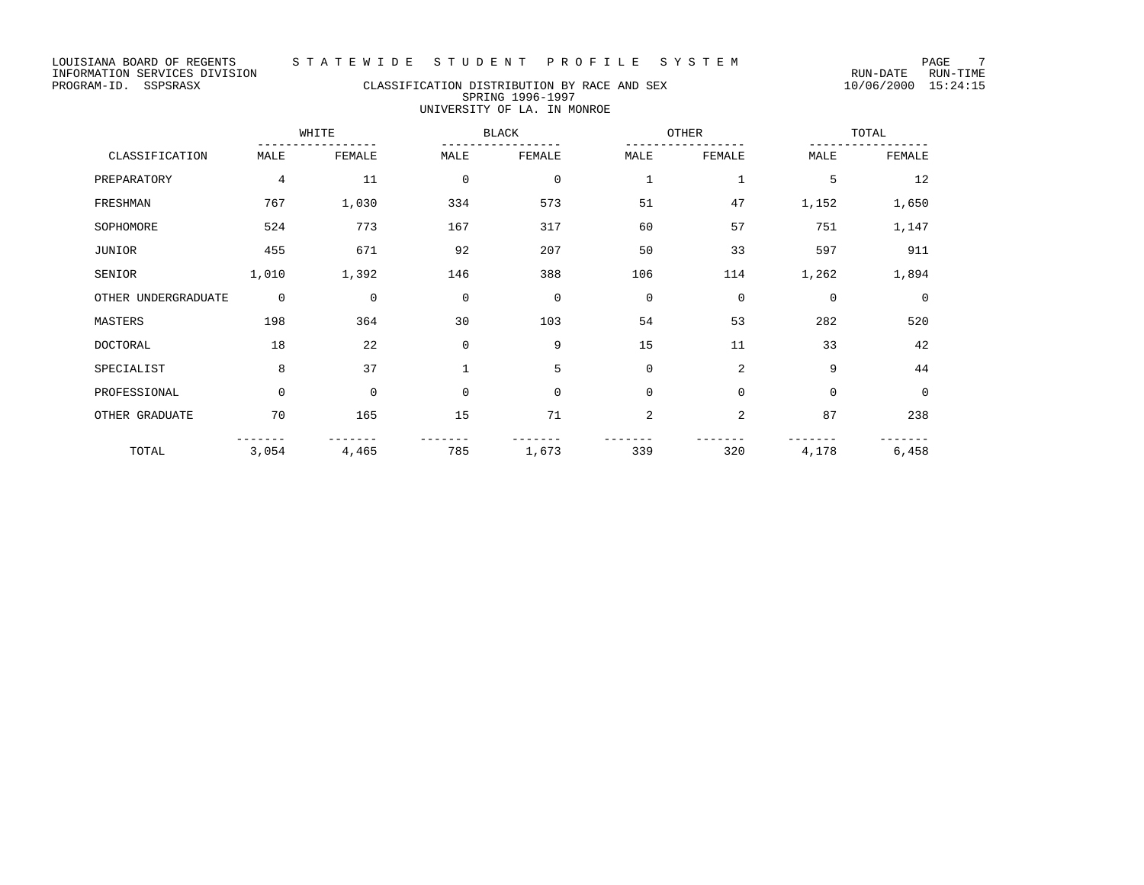# PROGRAM-ID. SSPSRASX CLASSIFICATION DISTRIBUTION BY RACE AND SEX 10/06/2000 15:24:15 SPRING 1996-1997 UNIVERSITY OF LA. IN MONROE

|                     |             | WHITE    |              | <b>BLACK</b> |             | OTHER          |             | TOTAL       |  |
|---------------------|-------------|----------|--------------|--------------|-------------|----------------|-------------|-------------|--|
| CLASSIFICATION      | MALE        | FEMALE   | MALE         | FEMALE       | MALE        | FEMALE         | MALE        | FEMALE      |  |
| PREPARATORY         | 4           | 11       | $\mathbf 0$  | $\mathbf 0$  | 1           | $\mathbf{1}$   | 5           | 12          |  |
| FRESHMAN            | 767         | 1,030    | 334          | 573          | 51          | 47             | 1,152       | 1,650       |  |
| SOPHOMORE           | 524         | 773      | 167          | 317          | 60          | 57             | 751         | 1,147       |  |
| JUNIOR              | 455         | 671      | 92           | 207          | 50          | 33             | 597         | 911         |  |
| SENIOR              | 1,010       | 1,392    | 146          | 388          | 106         | 114            | 1,262       | 1,894       |  |
| OTHER UNDERGRADUATE | $\mathbf 0$ | $\Omega$ | $\mathbf 0$  | $\mathbf 0$  | $\mathbf 0$ | $\mathbf 0$    | $\mathbf 0$ | $\mathbf 0$ |  |
| MASTERS             | 198         | 364      | 30           | 103          | 54          | 53             | 282         | 520         |  |
| <b>DOCTORAL</b>     | 18          | 22       | $\mathbf 0$  | 9            | 15          | 11             | 33          | 42          |  |
| SPECIALIST          | 8           | 37       | $\mathbf{1}$ | 5            | $\mathbf 0$ | $\overline{2}$ | 9           | 44          |  |
| PROFESSIONAL        | $\Omega$    | $\Omega$ | $\Omega$     | $\Omega$     | $\mathbf 0$ | $\mathbf 0$    | $\mathbf 0$ | $\mathbf 0$ |  |
| OTHER GRADUATE      | 70          | 165      | 15           | 71           | 2           | $\overline{2}$ | 87          | 238         |  |
| TOTAL               | 3,054       | 4,465    | 785          | 1,673        | 339         | 320            | 4,178       | 6,458       |  |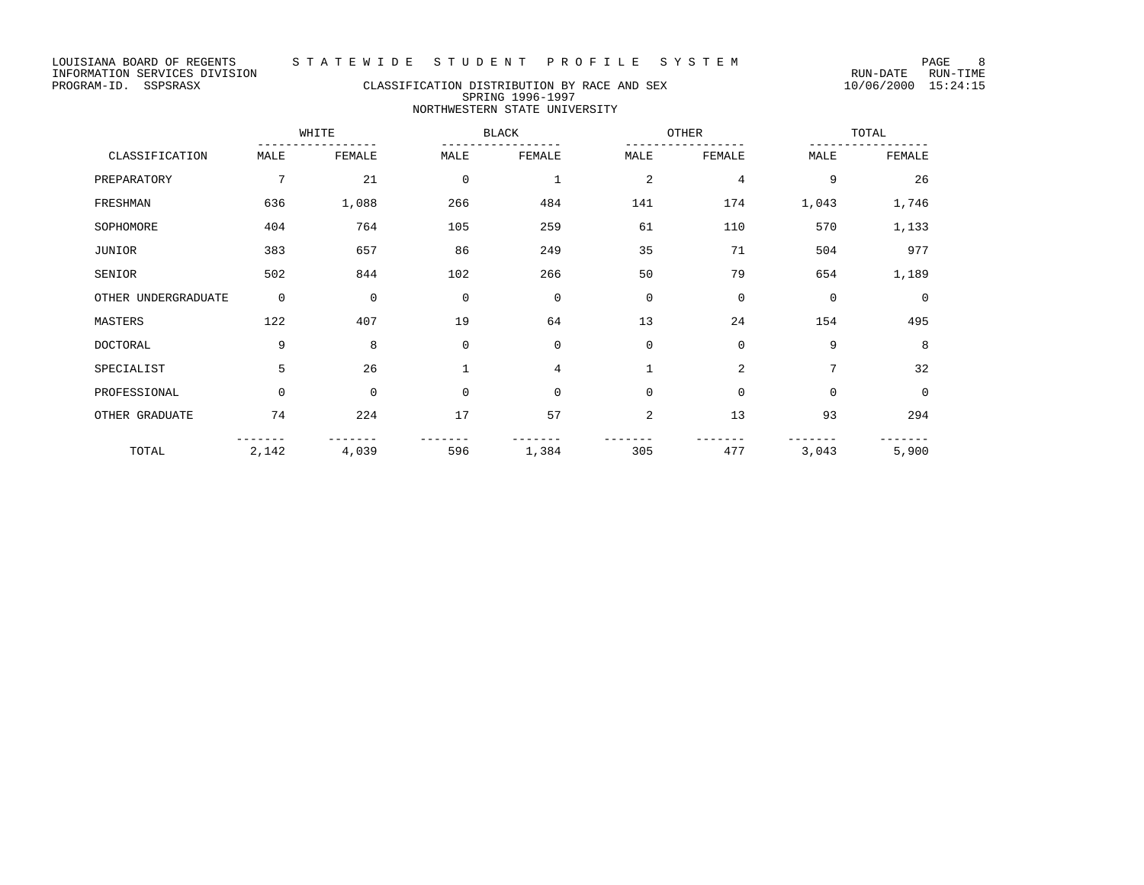# PROGRAM-ID. SSPSRASX CLASSIFICATION DISTRIBUTION BY RACE AND SEX 10/06/2000 15:24:15 SPRING 1996-1997 NORTHWESTERN STATE UNIVERSITY

|                     |             | WHITE       |              | <b>BLACK</b> |             | OTHER          |             | TOTAL       |
|---------------------|-------------|-------------|--------------|--------------|-------------|----------------|-------------|-------------|
| CLASSIFICATION      | MALE        | FEMALE      | MALE         | FEMALE       | MALE        | FEMALE         | MALE        | FEMALE      |
| PREPARATORY         | 7           | 21          | $\mathbf 0$  | $\mathbf{1}$ | 2           | $\overline{4}$ | 9           | 26          |
| FRESHMAN            | 636         | 1,088       | 266          | 484          | 141         | 174            | 1,043       | 1,746       |
| SOPHOMORE           | 404         | 764         | 105          | 259          | 61          | 110            | 570         | 1,133       |
| <b>JUNIOR</b>       | 383         | 657         | 86           | 249          | 35          | 71             | 504         | 977         |
| SENIOR              | 502         | 844         | 102          | 266          | 50          | 79             | 654         | 1,189       |
| OTHER UNDERGRADUATE | $\mathbf 0$ | $\mathbf 0$ | $\mathbf 0$  | $\mathbf 0$  | 0           | $\mathbf 0$    | $\mathbf 0$ | $\mathbf 0$ |
| MASTERS             | 122         | 407         | 19           | 64           | 13          | 24             | 154         | 495         |
| <b>DOCTORAL</b>     | 9           | 8           | $\mathbf 0$  | $\mathbf 0$  | $\mathbf 0$ | $\mathbf 0$    | 9           | 8           |
| SPECIALIST          | 5           | 26          | $\mathbf{1}$ | 4            |             | 2              | 7           | 32          |
| PROFESSIONAL        | $\mathbf 0$ | $\mathbf 0$ | $\mathbf 0$  | $\Omega$     | $\mathbf 0$ | $\mathbf 0$    | $\mathbf 0$ | $\mathbf 0$ |
| OTHER GRADUATE      | 74          | 224         | 17           | 57           | 2           | 13             | 93          | 294         |
| TOTAL               | 2,142       | 4,039       | 596          | 1,384        | 305         | 477            | 3,043       | 5,900       |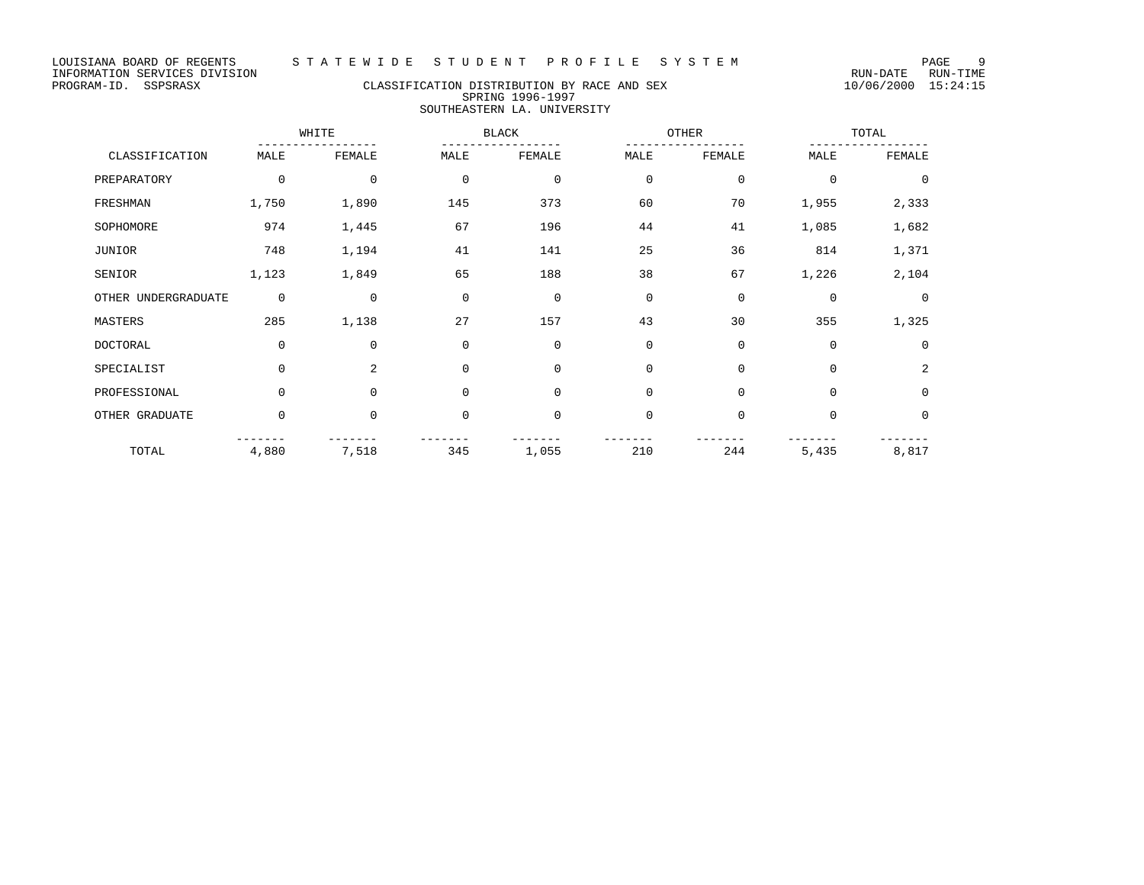# PROGRAM-ID. SSPSRASX CLASSIFICATION DISTRIBUTION BY RACE AND SEX 10/06/2000 15:24:15 SPRING 1996-1997 SOUTHEASTERN LA. UNIVERSITY

|                     | WHITE       |             |             | <b>BLACK</b> |             | OTHER       |             | TOTAL       |
|---------------------|-------------|-------------|-------------|--------------|-------------|-------------|-------------|-------------|
| CLASSIFICATION      | MALE        | FEMALE      | MALE        | FEMALE       | MALE        | FEMALE      | MALE        | FEMALE      |
| PREPARATORY         | $\mathbf 0$ | $\mathbf 0$ | $\mathbf 0$ | $\mathbf 0$  | $\mathbf 0$ | $\mathbf 0$ | $\Omega$    | $\Omega$    |
| FRESHMAN            | 1,750       | 1,890       | 145         | 373          | 60          | 70          | 1,955       | 2,333       |
| SOPHOMORE           | 974         | 1,445       | 67          | 196          | 44          | 41          | 1,085       | 1,682       |
| JUNIOR              | 748         | 1,194       | 41          | 141          | 25          | 36          | 814         | 1,371       |
| SENIOR              | 1,123       | 1,849       | 65          | 188          | 38          | 67          | 1,226       | 2,104       |
| OTHER UNDERGRADUATE | $\mathbf 0$ | $\mathbf 0$ | $\mathbf 0$ | $\mathbf 0$  | $\mathbf 0$ | $\mathbf 0$ | $\mathbf 0$ | $\Omega$    |
| MASTERS             | 285         | 1,138       | 27          | 157          | 43          | 30          | 355         | 1,325       |
| DOCTORAL            | $\mathbf 0$ | $\mathbf 0$ | $\mathbf 0$ | $\Omega$     | $\mathbf 0$ | $\mathbf 0$ | $\Omega$    | $\Omega$    |
| SPECIALIST          | $\Omega$    | 2           | $\Omega$    | $\Omega$     | $\mathbf 0$ | $\mathbf 0$ | $\Omega$    | 2           |
| PROFESSIONAL        | $\mathbf 0$ | $\Omega$    | $\mathbf 0$ | $\Omega$     | $\mathbf 0$ | $\mathbf 0$ | $\Omega$    | $\mathbf 0$ |
| OTHER GRADUATE      | $\mathbf 0$ | $\mathbf 0$ | $\mathbf 0$ | $\mathbf 0$  | $\mathbf 0$ | $\mathbf 0$ | $\mathbf 0$ | $\mathbf 0$ |
| TOTAL               | 4,880       | 7,518       | 345         | 1,055        | 210         | 244         | 5,435       | 8,817       |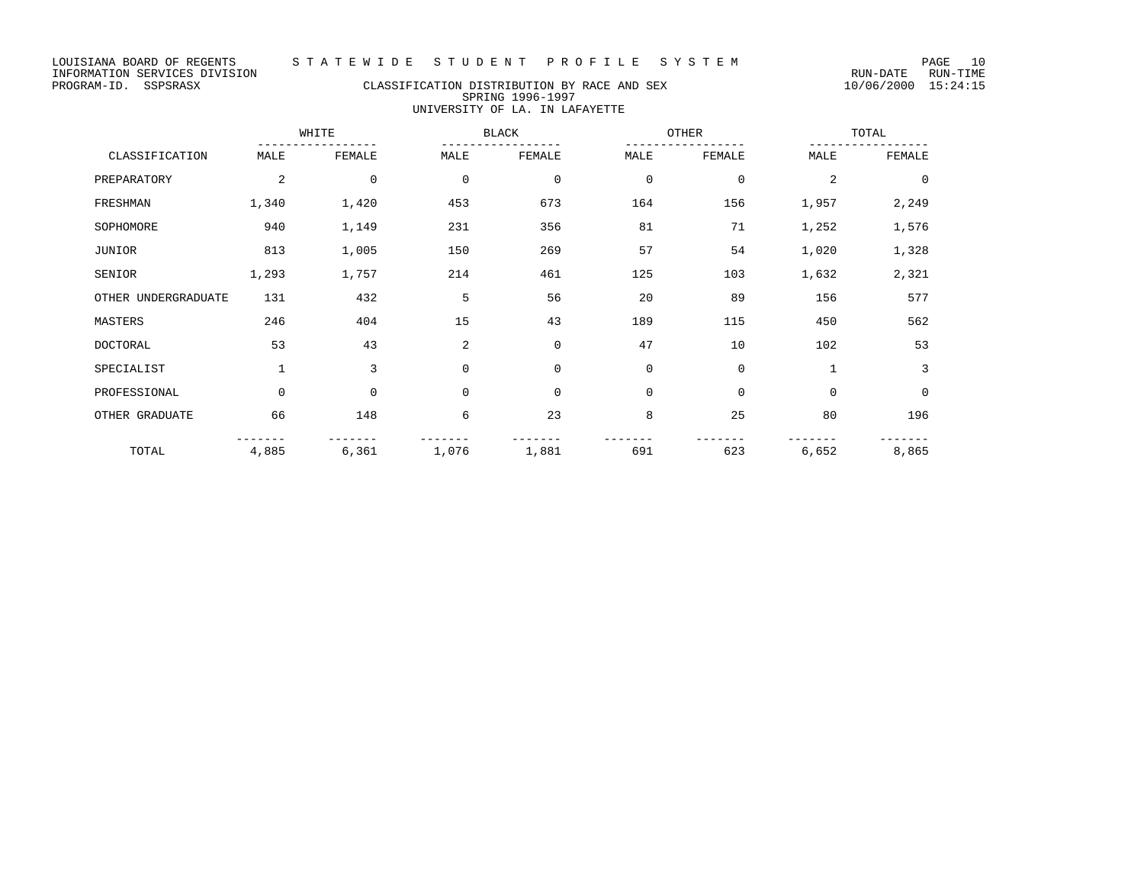LOUISIANA BOARD OF REGENTS STA TE WIDE STUDENT PROFILE SYSTEM NAGE 10

## PROGRAM-ID. SSPSRASX CLASSIFICATION DISTRIBUTION BY RACE AND SEX 10/06/2000 15:24:15 SPRING 1996-1997 UNIVERSITY OF LA. IN LAFAYETTE

|                     |                | WHITE       |             | <b>BLACK</b> | OTHER       |             | TOTAL          |             |
|---------------------|----------------|-------------|-------------|--------------|-------------|-------------|----------------|-------------|
| CLASSIFICATION      | MALE           | FEMALE      | MALE        | FEMALE       | MALE        | FEMALE      | MALE           | FEMALE      |
| PREPARATORY         | $\overline{c}$ | $\mathbf 0$ | $\mathbf 0$ | $\mathbf 0$  | $\mathbf 0$ | $\mathbf 0$ | $\overline{a}$ | $\mathbf 0$ |
| FRESHMAN            | 1,340          | 1,420       | 453         | 673          | 164         | 156         | 1,957          | 2,249       |
| SOPHOMORE           | 940            | 1,149       | 231         | 356          | 81          | 71          | 1,252          | 1,576       |
| JUNIOR              | 813            | 1,005       | 150         | 269          | 57          | 54          | 1,020          | 1,328       |
| SENIOR              | 1,293          | 1,757       | 214         | 461          | 125         | 103         | 1,632          | 2,321       |
| OTHER UNDERGRADUATE | 131            | 432         | 5           | 56           | 20          | 89          | 156            | 577         |
| MASTERS             | 246            | 404         | 15          | 43           | 189         | 115         | 450            | 562         |
| DOCTORAL            | 53             | 43          | 2           | $\mathbf 0$  | 47          | 10          | 102            | 53          |
| SPECIALIST          | $\mathbf{1}$   | 3           | 0           | $\mathbf 0$  | $\mathbf 0$ | $\mathbf 0$ | $\mathbf{1}$   | 3           |
| PROFESSIONAL        | $\mathbf 0$    | 0           | $\mathbf 0$ | $\mathbf 0$  | $\mathbf 0$ | $\mathbf 0$ | $\mathbf 0$    | $\mathbf 0$ |
| OTHER GRADUATE      | 66             | 148         | 6           | 23           | 8           | 25          | 80             | 196         |
| TOTAL               | 4,885          | 6,361       | 1,076       | 1,881        | 691         | 623         | 6,652          | 8,865       |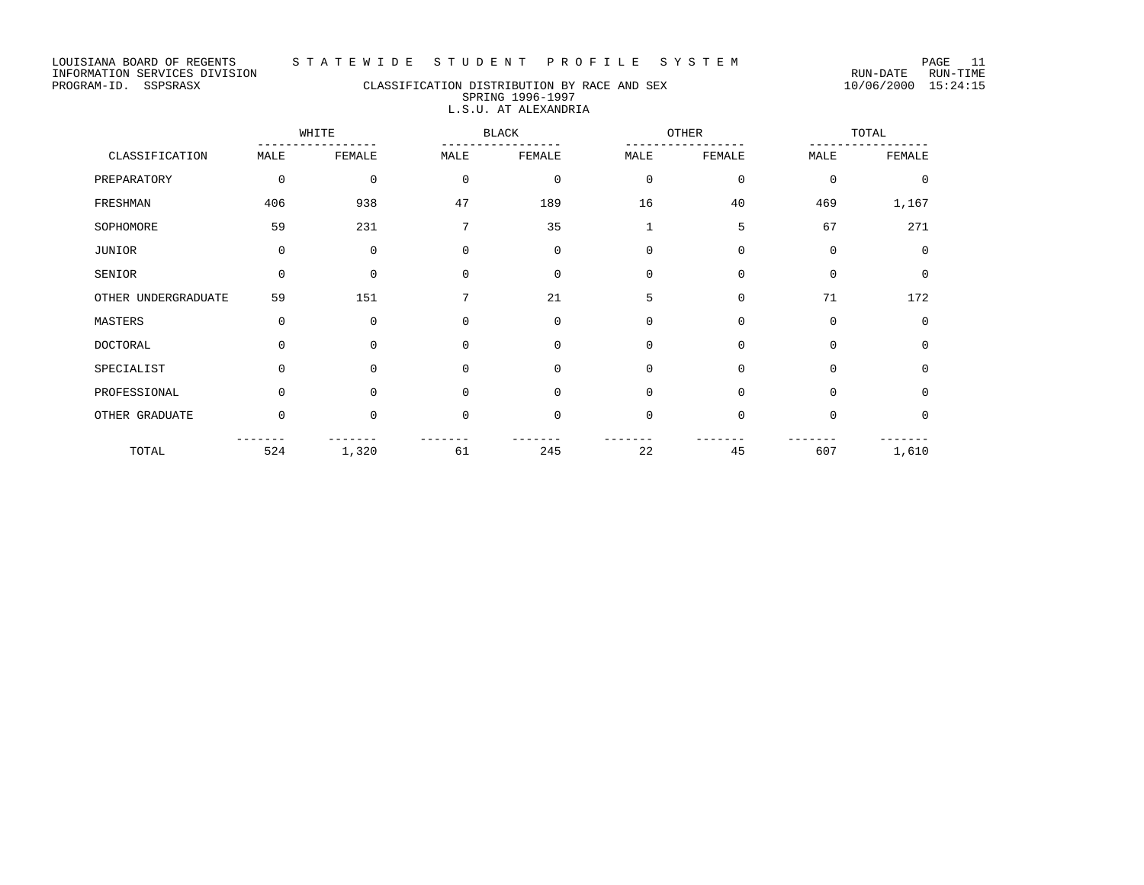# PROGRAM-ID. SSPSRASX CLASSIFICATION DISTRIBUTION BY RACE AND SEX 10/06/2000 15:24:15 SPRING 1996-1997 L.S.U. AT ALEXANDRIA

|                     |             | WHITE       |             | <b>BLACK</b> |              | OTHER       |             | TOTAL       |  |
|---------------------|-------------|-------------|-------------|--------------|--------------|-------------|-------------|-------------|--|
| CLASSIFICATION      | MALE        | FEMALE      | MALE        | FEMALE       | MALE         | FEMALE      | MALE        | FEMALE      |  |
| PREPARATORY         | $\mathbf 0$ | $\mathbf 0$ | $\mathbf 0$ | $\mathbf 0$  | $\mathbf 0$  | $\mathbf 0$ | $\mathbf 0$ | $\mathbf 0$ |  |
| FRESHMAN            | 406         | 938         | 47          | 189          | 16           | 40          | 469         | 1,167       |  |
| SOPHOMORE           | 59          | 231         | 7           | 35           | $\mathbf{1}$ | 5           | 67          | 271         |  |
| JUNIOR              | $\mathbf 0$ | $\mathbf 0$ | $\Omega$    | $\mathbf 0$  | $\mathbf 0$  | $\mathbf 0$ | $\mathbf 0$ | $\Omega$    |  |
| SENIOR              | $\Omega$    | $\Omega$    | $\Omega$    | $\Omega$     | $\mathbf 0$  | $\Omega$    | $\Omega$    | $\mathbf 0$ |  |
| OTHER UNDERGRADUATE | 59          | 151         | 7           | 21           | 5            | $\mathbf 0$ | 71          | 172         |  |
| MASTERS             | $\Omega$    | $\Omega$    | $\Omega$    | $\mathbf 0$  | $\mathbf 0$  | $\Omega$    | $\Omega$    | $\mathbf 0$ |  |
| <b>DOCTORAL</b>     | $\Omega$    | $\Omega$    | $\Omega$    | $\Omega$     | $\mathbf 0$  | $\Omega$    | $\Omega$    | $\Omega$    |  |
| SPECIALIST          | $\Omega$    | $\Omega$    | $\Omega$    | $\Omega$     | $\mathbf 0$  | $\Omega$    | $\Omega$    | $\Omega$    |  |
| PROFESSIONAL        | $\Omega$    | $\Omega$    | $\Omega$    | $\mathbf 0$  | $\mathbf 0$  | $\mathbf 0$ | $\Omega$    | $\mathbf 0$ |  |
| OTHER GRADUATE      | $\mathbf 0$ | 0           | $\Omega$    | $\mathbf 0$  | $\mathbf 0$  | $\mathbf 0$ | $\mathbf 0$ | $\mathbf 0$ |  |
| TOTAL               | 524         | 1,320       | 61          | 245          | 22           | 45          | 607         | 1,610       |  |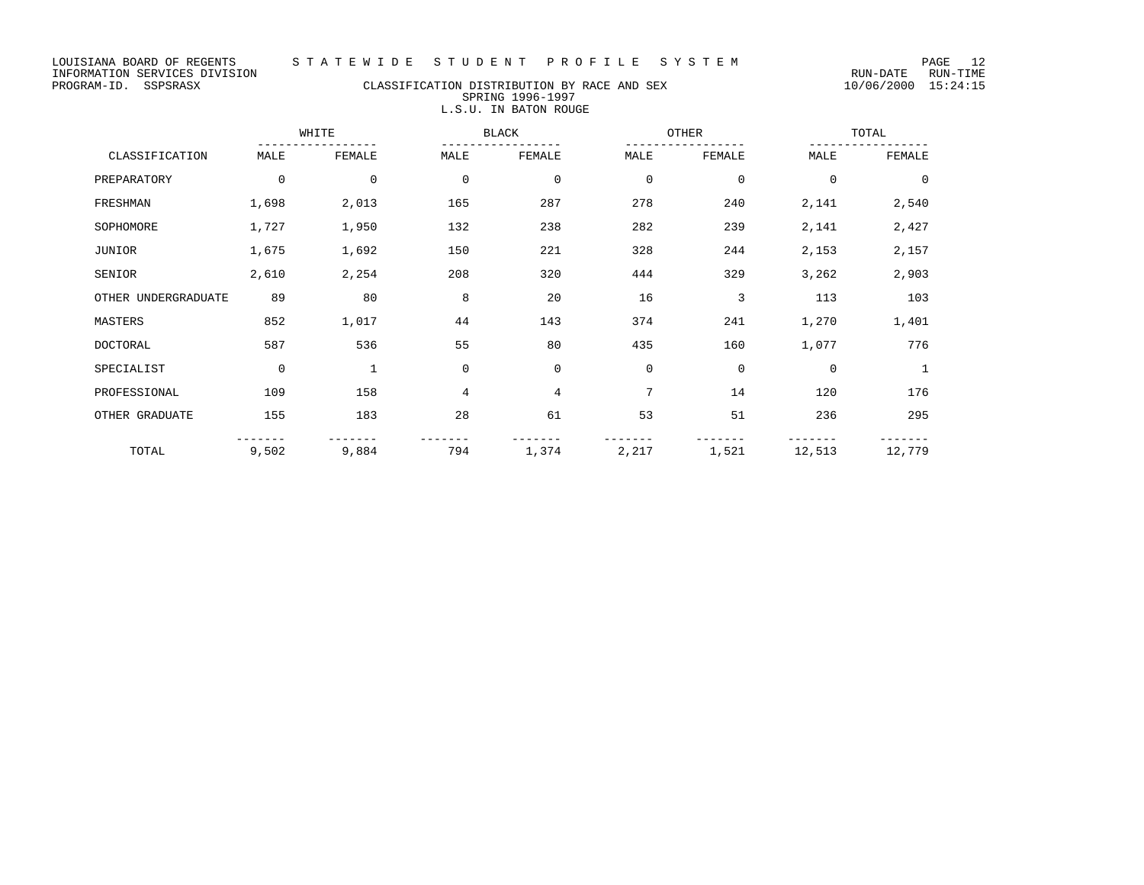# PROGRAM-ID. SSPSRASX CLASSIFICATION DISTRIBUTION BY RACE AND SEX 10/06/2000 15:24:15 SPRING 1996-1997 L.S.U. IN BATON ROUGE

|                     |             | WHITE       |             | <b>BLACK</b> |             | OTHER       |             | TOTAL          |  |
|---------------------|-------------|-------------|-------------|--------------|-------------|-------------|-------------|----------------|--|
| CLASSIFICATION      | MALE        | FEMALE      | MALE        | FEMALE       | MALE        | FEMALE      | MALE        | FEMALE         |  |
| PREPARATORY         | $\mathbf 0$ | $\mathbf 0$ | $\mathbf 0$ | $\mathbf 0$  | $\mathbf 0$ | $\mathbf 0$ | $\mathbf 0$ | $\overline{0}$ |  |
| FRESHMAN            | 1,698       | 2,013       | 165         | 287          | 278         | 240         | 2,141       | 2,540          |  |
| SOPHOMORE           | 1,727       | 1,950       | 132         | 238          | 282         | 239         | 2,141       | 2,427          |  |
| JUNIOR              | 1,675       | 1,692       | 150         | 221          | 328         | 244         | 2,153       | 2,157          |  |
| SENIOR              | 2,610       | 2,254       | 208         | 320          | 444         | 329         | 3,262       | 2,903          |  |
| OTHER UNDERGRADUATE | 89          | 80          | 8           | 20           | 16          | 3           | 113         | 103            |  |
| MASTERS             | 852         | 1,017       | 44          | 143          | 374         | 241         | 1,270       | 1,401          |  |
| <b>DOCTORAL</b>     | 587         | 536         | 55          | 80           | 435         | 160         | 1,077       | 776            |  |
| SPECIALIST          | $\mathbf 0$ | 1           | $\mathbf 0$ | $\mathbf 0$  | $\mathbf 0$ | $\mathbf 0$ | $\mathbf 0$ | 1              |  |
| PROFESSIONAL        | 109         | 158         | 4           | 4            | 7           | 14          | 120         | 176            |  |
| OTHER GRADUATE      | 155         | 183         | 28          | 61           | 53          | 51          | 236         | 295            |  |
| TOTAL               | 9,502       | 9,884       | 794         | 1,374        | 2,217       | 1,521       | 12,513      | 12,779         |  |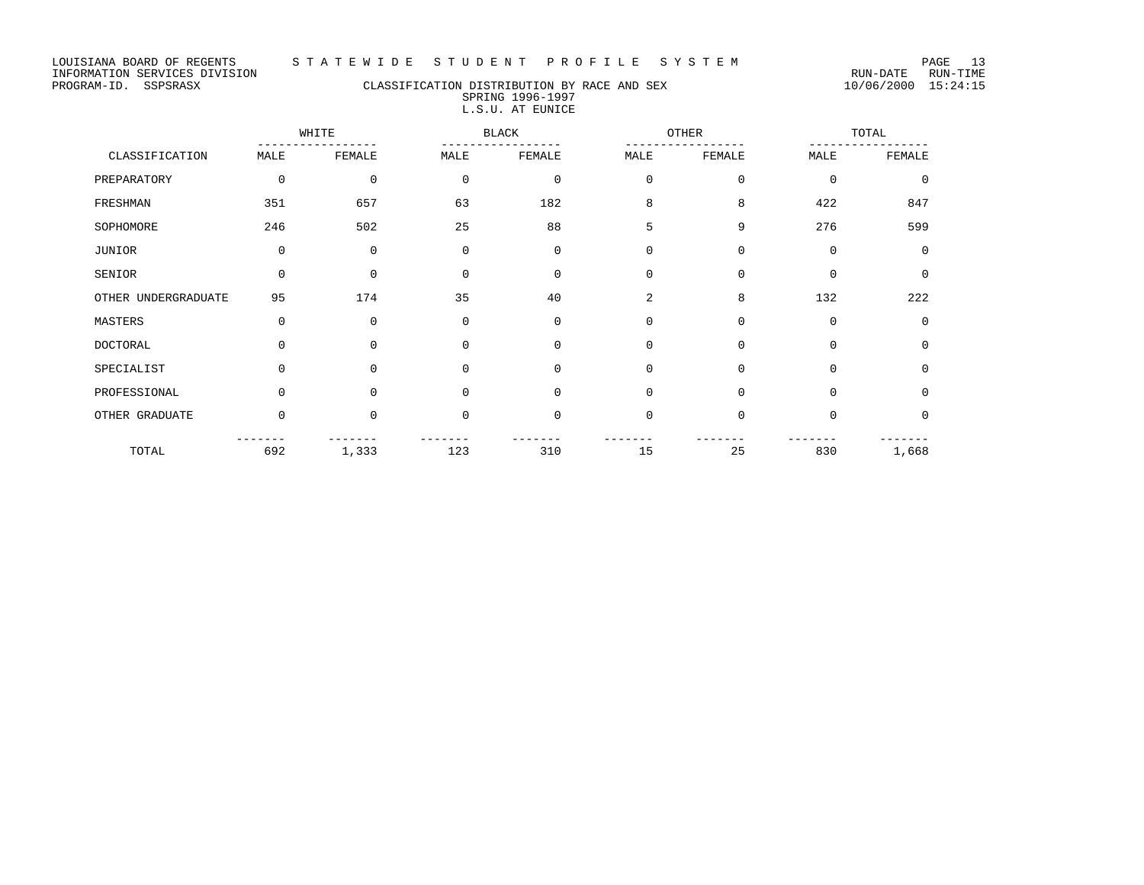# PROGRAM-ID. SSPSRASX CLASSIFICATION DISTRIBUTION BY RACE AND SEX 10/06/2000 15:24:15 SPRING 1996-1997 L.S.U. AT EUNICE

|                     |          | WHITE        |             | <b>BLACK</b> | OTHER       |              |             | TOTAL       |
|---------------------|----------|--------------|-------------|--------------|-------------|--------------|-------------|-------------|
| CLASSIFICATION      | MALE     | FEMALE       | MALE        | FEMALE       | MALE        | FEMALE       | MALE        | FEMALE      |
| PREPARATORY         | 0        | $\mathbf{0}$ | 0           | $\mathbf 0$  | $\mathbf 0$ | $\mathbf{0}$ | $\mathbf 0$ | $\Omega$    |
| FRESHMAN            | 351      | 657          | 63          | 182          | 8           | 8            | 422         | 847         |
| SOPHOMORE           | 246      | 502          | 25          | 88           | 5           | 9            | 276         | 599         |
| <b>JUNIOR</b>       | 0        | $\mathbf 0$  | $\mathbf 0$ | $\mathbf 0$  | $\mathbf 0$ | $\mathbf{0}$ | $\mathbf 0$ | $\Omega$    |
| SENIOR              | 0        | $\mathbf{0}$ | $\mathbf 0$ | $\mathbf 0$  | $\mathbf 0$ | $\mathbf 0$  | $\mathbf 0$ | $\mathbf 0$ |
| OTHER UNDERGRADUATE | 95       | 174          | 35          | 40           | 2           | 8            | 132         | 222         |
| MASTERS             | 0        | $\mathbf 0$  | $\mathbf 0$ | $\mathbf 0$  | $\mathbf 0$ | $\mathbf 0$  | $\mathbf 0$ | $\mathbf 0$ |
| DOCTORAL            | 0        | $\Omega$     | $\mathbf 0$ | $\mathbf 0$  | $\mathbf 0$ | $\Omega$     | $\Omega$    | 0           |
| SPECIALIST          | $\Omega$ | $\Omega$     | $\mathbf 0$ | $\mathbf 0$  | $\mathbf 0$ | $\Omega$     | $\Omega$    | $\Omega$    |
| PROFESSIONAL        | 0        | 0            | $\mathbf 0$ | $\mathbf 0$  | $\mathbf 0$ | $\mathbf{0}$ | $\mathbf 0$ | $\mathbf 0$ |
| OTHER GRADUATE      | 0        | $\Omega$     | $\mathbf 0$ | $\mathbf 0$  | $\Omega$    | $\Omega$     | $\Omega$    | $\mathbf 0$ |
| TOTAL               | 692      | 1,333        | 123         | 310          | 15          | 25           | 830         | 1,668       |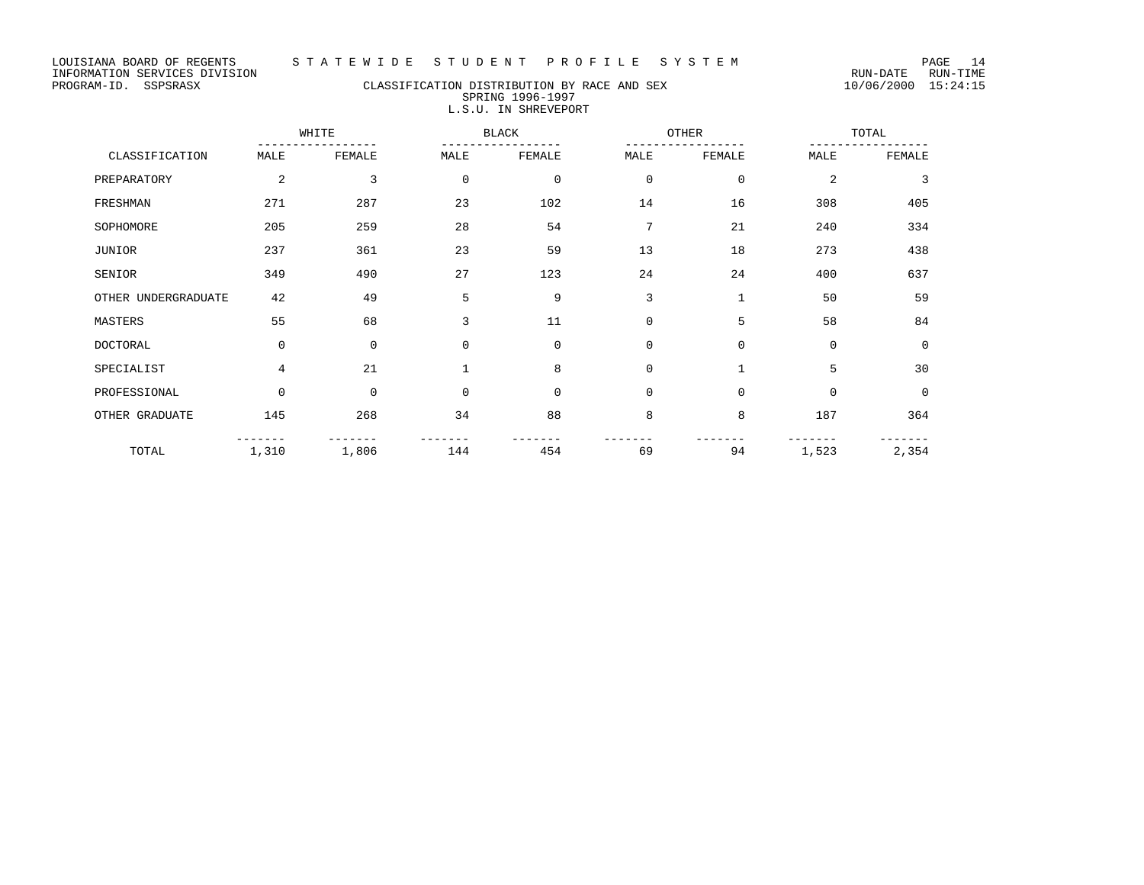# PROGRAM-ID. SSPSRASX CLASSIFICATION DISTRIBUTION BY RACE AND SEX 10/06/2000 15:24:15 SPRING 1996-1997 L.S.U. IN SHREVEPORT

|                     | WHITE       |             | <b>BLACK</b> |             | OTHER       |              | TOTAL          |             |
|---------------------|-------------|-------------|--------------|-------------|-------------|--------------|----------------|-------------|
| CLASSIFICATION      | MALE        | FEMALE      | MALE         | FEMALE      | MALE        | FEMALE       | MALE           | FEMALE      |
| PREPARATORY         | 2           | 3           | $\mathbf 0$  | $\mathbf 0$ | $\mathbf 0$ | $\mathbf 0$  | $\overline{2}$ | 3           |
| FRESHMAN            | 271         | 287         | 23           | 102         | 14          | 16           | 308            | 405         |
| SOPHOMORE           | 205         | 259         | 28           | 54          | 7           | 21           | 240            | 334         |
| JUNIOR              | 237         | 361         | 23           | 59          | 13          | 18           | 273            | 438         |
| SENIOR              | 349         | 490         | 27           | 123         | 24          | 24           | 400            | 637         |
| OTHER UNDERGRADUATE | 42          | 49          | 5            | 9           | 3           | $\mathbf{1}$ | 50             | 59          |
| MASTERS             | 55          | 68          | 3            | 11          | $\mathbf 0$ | 5            | 58             | 84          |
| <b>DOCTORAL</b>     | $\mathbf 0$ | $\mathbf 0$ | 0            | $\mathbf 0$ | $\mathbf 0$ | $\mathbf{0}$ | $\mathbf 0$    | $\mathbf 0$ |
| SPECIALIST          | 4           | 21          |              | 8           | $\mathbf 0$ | $\mathbf{1}$ | 5              | 30          |
| PROFESSIONAL        | $\mathbf 0$ | $\mathbf 0$ | $\mathbf 0$  | $\mathbf 0$ | $\mathbf 0$ | $\mathbf{0}$ | $\mathbf 0$    | $\mathbf 0$ |
| OTHER GRADUATE      | 145         | 268         | 34           | 88          | 8           | 8            | 187            | 364         |
| TOTAL               | 1,310       | 1,806       | 144          | 454         | 69          | 94           | 1,523          | 2,354       |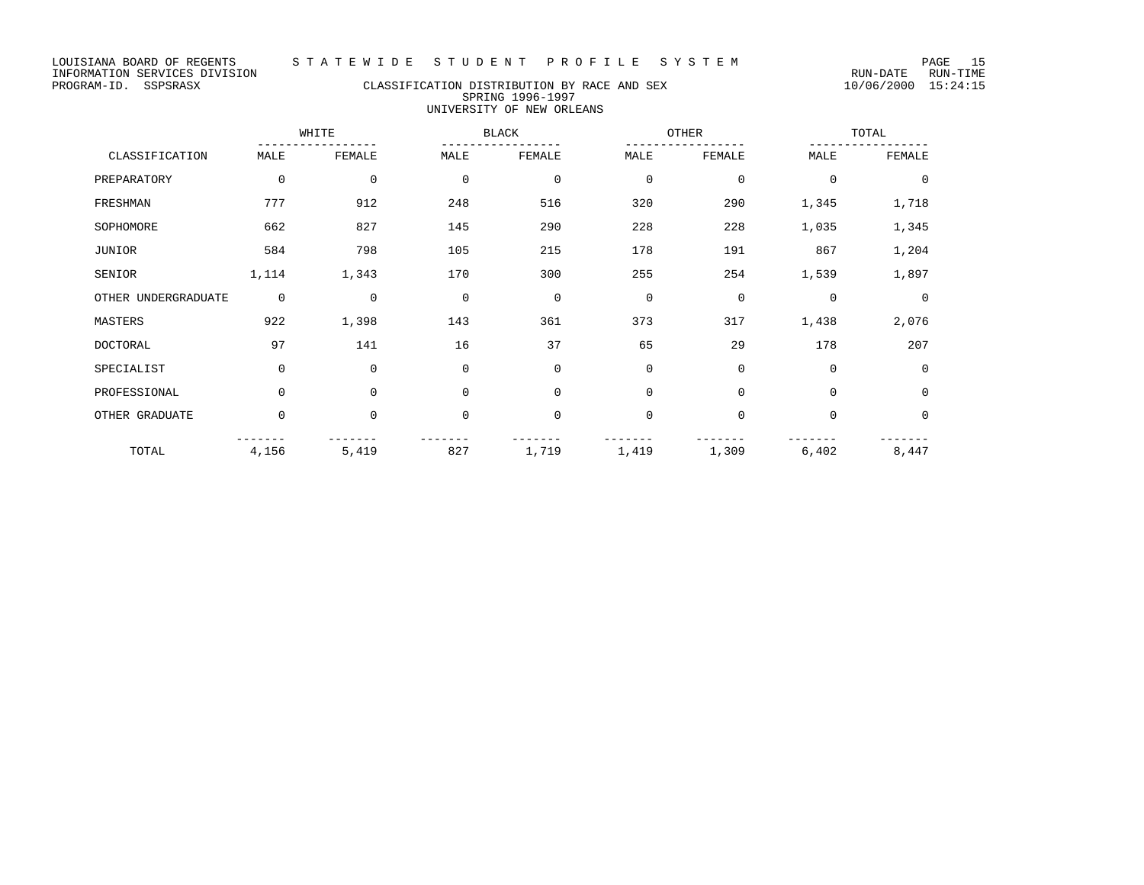# PROGRAM-ID. SSPSRASX CLASSIFICATION DISTRIBUTION BY RACE AND SEX 10/06/2000 15:24:15 SPRING 1996-1997 UNIVERSITY OF NEW ORLEANS

|                     | WHITE       |              | <b>BLACK</b> |             | OTHER       |              | TOTAL          |             |
|---------------------|-------------|--------------|--------------|-------------|-------------|--------------|----------------|-------------|
| CLASSIFICATION      | MALE        | FEMALE       | MALE         | FEMALE      | MALE        | FEMALE       | MALE           | FEMALE      |
| PREPARATORY         | 0           | $\mathbf{0}$ | $\mathbf 0$  | $\mathbf 0$ | $\mathbf 0$ | $\mathbf 0$  | $\mathbf 0$    | $\mathbf 0$ |
| FRESHMAN            | 777         | 912          | 248          | 516         | 320         | 290          | 1,345          | 1,718       |
| SOPHOMORE           | 662         | 827          | 145          | 290         | 228         | 228          | 1,035          | 1,345       |
| <b>JUNIOR</b>       | 584         | 798          | 105          | 215         | 178         | 191          | 867            | 1,204       |
| SENIOR              | 1,114       | 1,343        | 170          | 300         | 255         | 254          | 1,539          | 1,897       |
| OTHER UNDERGRADUATE | $\mathbf 0$ | $\Omega$     | $\mathbf 0$  | $\mathbf 0$ | $\mathbf 0$ | $\Omega$     | $\overline{0}$ | $\Omega$    |
| MASTERS             | 922         | 1,398        | 143          | 361         | 373         | 317          | 1,438          | 2,076       |
| <b>DOCTORAL</b>     | 97          | 141          | 16           | 37          | 65          | 29           | 178            | 207         |
| SPECIALIST          | $\mathbf 0$ | $\mathbf 0$  | $\mathbf 0$  | $\mathbf 0$ | $\mathbf 0$ | $\mathbf{0}$ | $\mathbf 0$    | $\Omega$    |
| PROFESSIONAL        | 0           | $\mathbf 0$  | $\mathbf 0$  | $\mathbf 0$ | $\mathbf 0$ | $\mathbf 0$  | $\mathbf 0$    | $\mathbf 0$ |
| OTHER GRADUATE      | 0           | $\mathbf{0}$ | $\mathbf 0$  | $\mathbf 0$ | $\mathbf 0$ | $\mathbf{0}$ | $\mathbf 0$    | 0           |
| TOTAL               | 4,156       | 5,419        | 827          | 1,719       | 1,419       | 1,309        | 6,402          | 8,447       |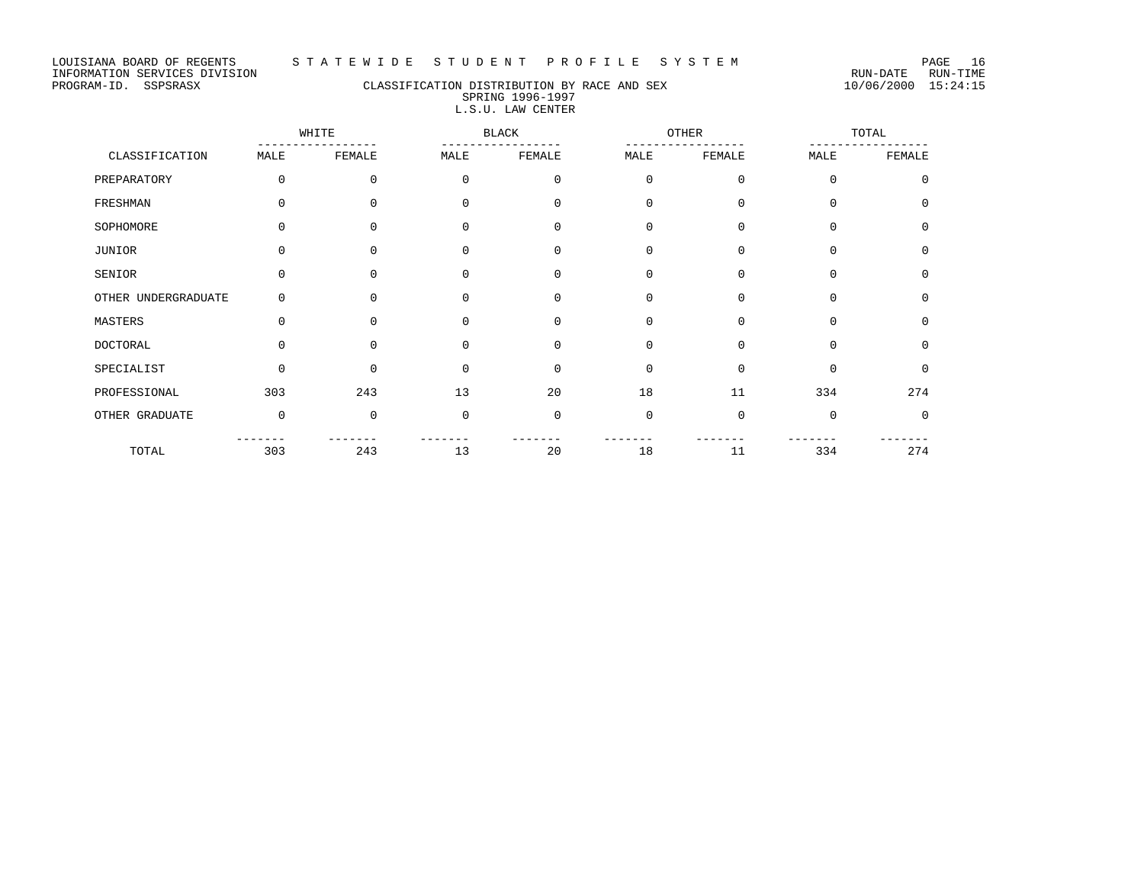# PROGRAM-ID. SSPSRASX CLASSIFICATION DISTRIBUTION BY RACE AND SEX 10/06/2000 15:24:15 SPRING 1996-1997 L.S.U. LAW CENTER

|                     | WHITE       |             | <b>BLACK</b> |             | OTHER       |              | TOTAL       |             |
|---------------------|-------------|-------------|--------------|-------------|-------------|--------------|-------------|-------------|
| CLASSIFICATION      | MALE        | FEMALE      | MALE         | FEMALE      | MALE        | FEMALE       | MALE        | FEMALE      |
| PREPARATORY         | $\Omega$    | 0           | $\Omega$     | 0           | $\mathbf 0$ | $\mathbf{0}$ | $\Omega$    | $\Omega$    |
| FRESHMAN            | $\Omega$    | 0           | $\Omega$     | $\mathbf 0$ | $\mathbf 0$ | $\mathbf{0}$ | $\Omega$    | $\Omega$    |
| SOPHOMORE           | $\Omega$    | $\Omega$    | $\Omega$     | $\Omega$    | $\mathbf 0$ | $\Omega$     | $\Omega$    | $\Omega$    |
| JUNIOR              | $\Omega$    | 0           | 0            | $\mathbf 0$ | $\mathbf 0$ | $\mathbf 0$  | $\mathbf 0$ | $\Omega$    |
| SENIOR              | $\Omega$    | 0           | $\Omega$     | $\Omega$    | $\mathbf 0$ | $\Omega$     | $\Omega$    | $\Omega$    |
| OTHER UNDERGRADUATE | 0           | $\Omega$    | $\Omega$     | $\Omega$    | $\mathbf 0$ | $\Omega$     | $\Omega$    | $\Omega$    |
| MASTERS             | 0           | $\mathbf 0$ | 0            | $\mathbf 0$ | $\mathbf 0$ | $\mathbf 0$  | $\mathbf 0$ | $\mathbf 0$ |
| <b>DOCTORAL</b>     | $\Omega$    | $\Omega$    | $\Omega$     | $\Omega$    | $\Omega$    | $\Omega$     | $\Omega$    | $\Omega$    |
| SPECIALIST          | $\Omega$    | $\Omega$    | $\Omega$     | $\Omega$    | $\mathbf 0$ | $\Omega$     | $\Omega$    | $\Omega$    |
| PROFESSIONAL        | 303         | 243         | 13           | 20          | 18          | 11           | 334         | 274         |
| OTHER GRADUATE      | $\mathbf 0$ | 0           | $\mathbf 0$  | $\mathbf 0$ | $\mathbf 0$ | $\Omega$     | $\Omega$    | 0           |
| TOTAL               | 303         | 243         | 13           | 20          | 18          | 11           | 334         | 274         |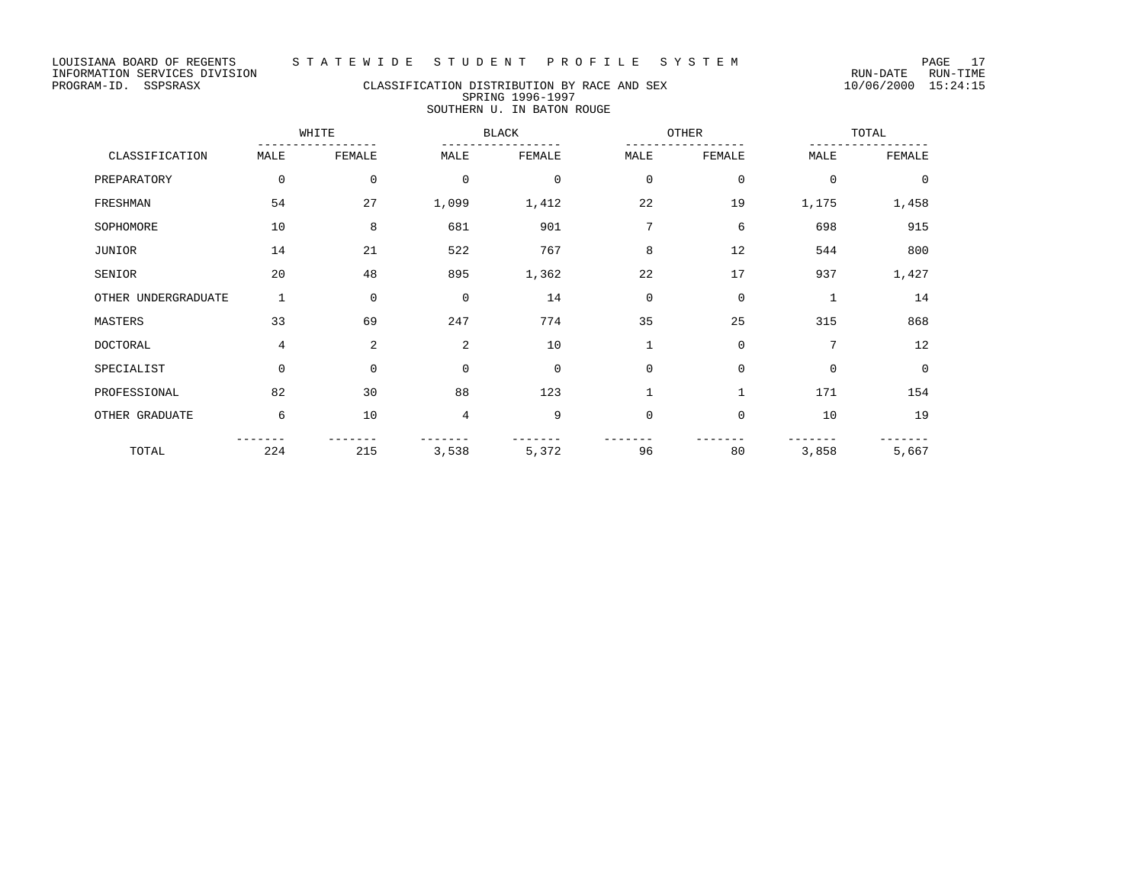# PROGRAM-ID. SSPSRASX CLASSIFICATION DISTRIBUTION BY RACE AND SEX 10/06/2000 15:24:15 SPRING 1996-1997 SOUTHERN U. IN BATON ROUGE

|                     | WHITE       |             | <b>BLACK</b> |             | OTHER        |              | TOTAL        |          |
|---------------------|-------------|-------------|--------------|-------------|--------------|--------------|--------------|----------|
| CLASSIFICATION      | MALE        | FEMALE      | MALE         | FEMALE      | MALE         | FEMALE       | MALE         | FEMALE   |
| PREPARATORY         | $\mathbf 0$ | 0           | $\mathbf 0$  | $\mathbf 0$ | $\mathbf 0$  | 0            | $\mathbf 0$  | $\Omega$ |
| FRESHMAN            | 54          | 27          | 1,099        | 1,412       | 22           | 19           | 1,175        | 1,458    |
| SOPHOMORE           | 10          | 8           | 681          | 901         | 7            | 6            | 698          | 915      |
| JUNIOR              | 14          | 21          | 522          | 767         | 8            | 12           | 544          | 800      |
| SENIOR              | 20          | 48          | 895          | 1,362       | 22           | 17           | 937          | 1,427    |
| OTHER UNDERGRADUATE | 1           | $\mathbf 0$ | $\mathbf 0$  | 14          | $\mathbf 0$  | $\mathbf 0$  | $\mathbf{1}$ | 14       |
| MASTERS             | 33          | 69          | 247          | 774         | 35           | 25           | 315          | 868      |
| <b>DOCTORAL</b>     | 4           | 2           | 2            | 10          | $\mathbf{1}$ | $\mathbf 0$  | 7            | 12       |
| SPECIALIST          | $\Omega$    | $\Omega$    | $\mathbf 0$  | $\mathbf 0$ | $\mathbf 0$  | $\mathbf 0$  | $\Omega$     | $\Omega$ |
| PROFESSIONAL        | 82          | 30          | 88           | 123         | $\mathbf{1}$ | $\mathbf{1}$ | 171          | 154      |
| OTHER GRADUATE      | 6           | 10          | 4            | 9           | $\mathbf 0$  | $\mathbf 0$  | 10           | 19       |
| TOTAL               | 224         | 215         | 3,538        | 5,372       | 96           | 80           | 3,858        | 5,667    |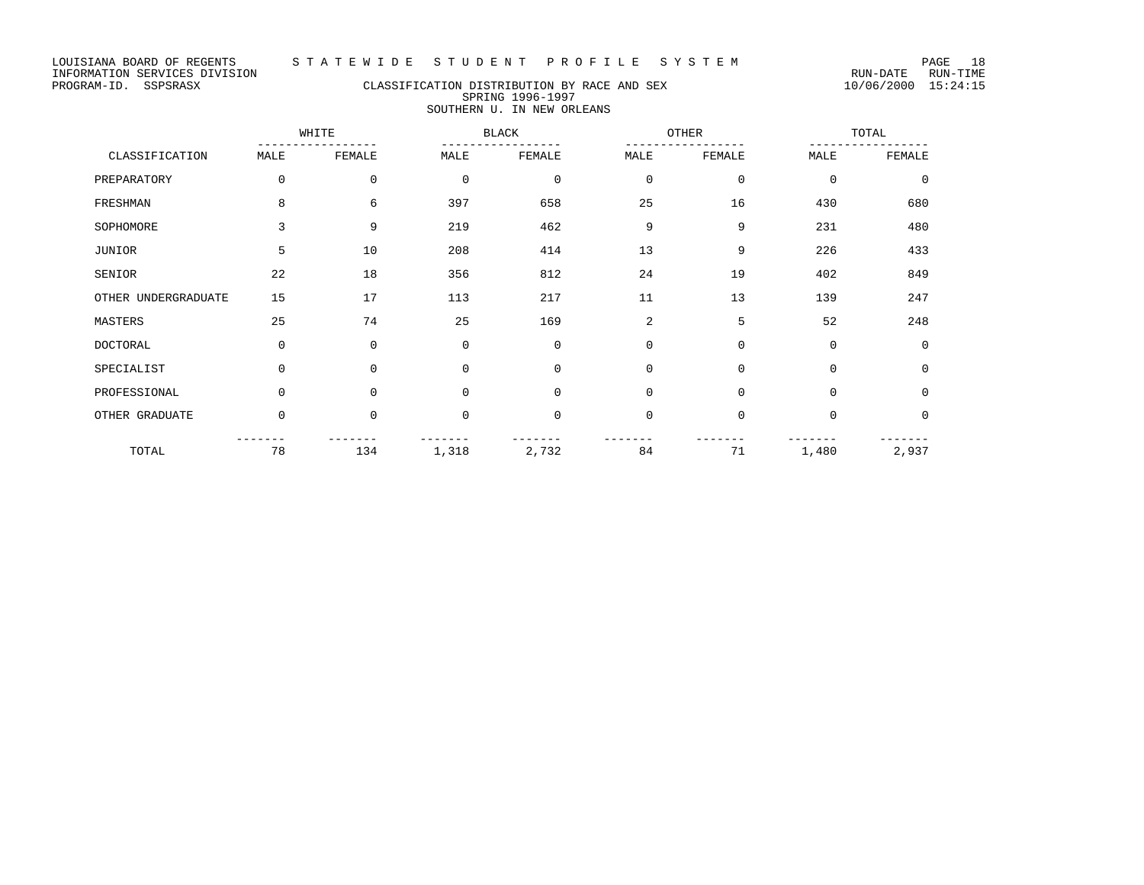# PROGRAM-ID. SSPSRASX CLASSIFICATION DISTRIBUTION BY RACE AND SEX 10/06/2000 15:24:15 SPRING 1996-1997 SOUTHERN U. IN NEW ORLEANS

|                     | WHITE       |             | <b>BLACK</b> |             |             | OTHER       | TOTAL       |             |
|---------------------|-------------|-------------|--------------|-------------|-------------|-------------|-------------|-------------|
| CLASSIFICATION      | MALE        | FEMALE      | MALE         | FEMALE      | MALE        | FEMALE      | MALE        | FEMALE      |
| PREPARATORY         | $\Omega$    | $\mathbf 0$ | $\mathbf 0$  | $\mathbf 0$ | $\mathbf 0$ | 0           | $\mathbf 0$ | $\mathbf 0$ |
| FRESHMAN            | 8           | 6           | 397          | 658         | 25          | 16          | 430         | 680         |
| SOPHOMORE           | 3           | 9           | 219          | 462         | 9           | 9           | 231         | 480         |
| JUNIOR              | 5           | 10          | 208          | 414         | 13          | 9           | 226         | 433         |
| SENIOR              | 22          | 18          | 356          | 812         | 24          | 19          | 402         | 849         |
| OTHER UNDERGRADUATE | 15          | 17          | 113          | 217         | 11          | 13          | 139         | 247         |
| MASTERS             | 25          | 74          | 25           | 169         | 2           | 5           | 52          | 248         |
| DOCTORAL            | $\Omega$    | $\Omega$    | $\Omega$     | $\Omega$    | $\mathbf 0$ | $\mathbf 0$ | $\mathbf 0$ | $\Omega$    |
| SPECIALIST          | $\Omega$    | $\Omega$    | $\Omega$     | $\Omega$    | $\mathbf 0$ | $\mathbf 0$ | $\mathbf 0$ | $\mathbf 0$ |
| PROFESSIONAL        | $\mathbf 0$ | $\Omega$    | $\mathbf 0$  | $\Omega$    | $\mathbf 0$ | $\mathbf 0$ | $\mathbf 0$ | $\mathbf 0$ |
| OTHER GRADUATE      | $\mathbf 0$ | $\mathbf 0$ | $\mathbf 0$  | $\mathbf 0$ | 0           | 0           | $\mathbf 0$ | $\mathbf 0$ |
| TOTAL               | 78          | 134         | 1,318        | 2,732       | 84          | 71          | 1,480       | 2,937       |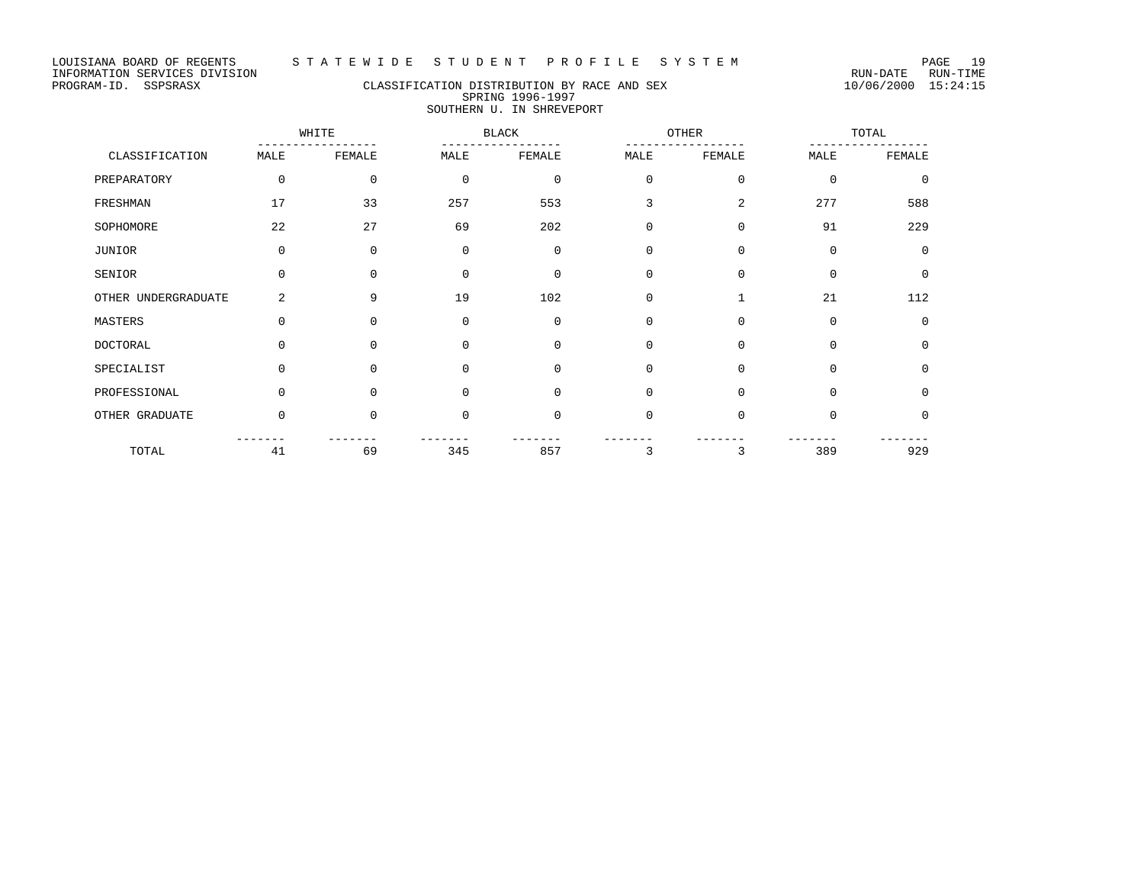# PROGRAM-ID. SSPSRASX CLASSIFICATION DISTRIBUTION BY RACE AND SEX 10/06/2000 15:24:15 SPRING 1996-1997 SOUTHERN U. IN SHREVEPORT

|                     | WHITE       |              | <b>BLACK</b> |              | OTHER       |              | TOTAL       |          |
|---------------------|-------------|--------------|--------------|--------------|-------------|--------------|-------------|----------|
| CLASSIFICATION      | MALE        | FEMALE       | MALE         | FEMALE       | MALE        | FEMALE       | MALE        | FEMALE   |
| PREPARATORY         | $\mathbf 0$ | $\mathbf{0}$ | $\mathbf 0$  | $\mathbf 0$  | $\mathbf 0$ | $\mathbf 0$  | $\Omega$    | $\Omega$ |
| FRESHMAN            | 17          | 33           | 257          | 553          | 3           | 2            | 277         | 588      |
| SOPHOMORE           | 22          | 27           | 69           | 202          | $\mathbf 0$ | $\mathbf 0$  | 91          | 229      |
| JUNIOR              | $\mathbf 0$ | $\Omega$     | $\Omega$     | $\mathbf 0$  | $\mathbf 0$ | $\mathbf 0$  | $\Omega$    | $\Omega$ |
| SENIOR              | $\mathbf 0$ | $\mathbf{0}$ | $\Omega$     | $\mathbf{0}$ | $\mathbf 0$ | $\mathbf 0$  | $\mathbf 0$ | $\Omega$ |
| OTHER UNDERGRADUATE | 2           | 9            | 19           | 102          | $\mathbf 0$ | $\mathbf{1}$ | 21          | 112      |
| MASTERS             | $\mathbf 0$ | $\mathbf{0}$ | $\mathbf 0$  | $\mathbf 0$  | $\mathbf 0$ | $\mathbf 0$  | $\mathbf 0$ | $\Omega$ |
| DOCTORAL            | $\mathbf 0$ | $\Omega$     | $\Omega$     | $\mathbf 0$  | $\mathbf 0$ | $\mathbf 0$  | $\Omega$    | $\Omega$ |
| SPECIALIST          | $\Omega$    | $\Omega$     | $\Omega$     | $\mathbf 0$  | $\mathbf 0$ | $\mathbf 0$  | $\mathbf 0$ | $\Omega$ |
| PROFESSIONAL        | $\mathbf 0$ | $\Omega$     | $\Omega$     | $\mathbf 0$  | $\mathbf 0$ | $\mathbf 0$  | $\Omega$    | $\Omega$ |
| OTHER GRADUATE      | $\mathbf 0$ | $\mathbf 0$  | $\mathbf 0$  | $\mathbf 0$  | $\mathbf 0$ | $\mathbf 0$  | $\mathbf 0$ | 0        |
| TOTAL               | 41          | 69           | 345          | 857          | 3           | 3            | 389         | 929      |